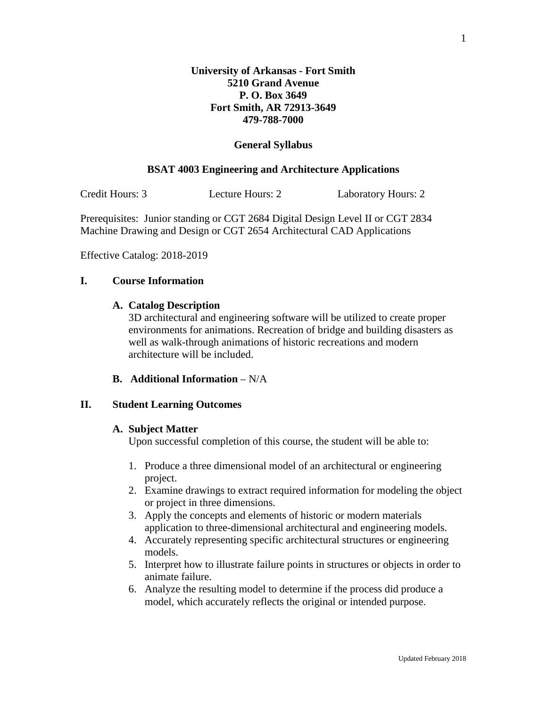# **University of Arkansas - Fort Smith 5210 Grand Avenue P. O. Box 3649 Fort Smith, AR 72913-3649 479-788-7000**

#### **General Syllabus**

## **BSAT 4003 Engineering and Architecture Applications**

| Credit Hours: 3<br>Lecture Hours: 2 | <b>Laboratory Hours: 2</b> |
|-------------------------------------|----------------------------|
|-------------------------------------|----------------------------|

Prerequisites: Junior standing or CGT 2684 Digital Design Level II or CGT 2834 Machine Drawing and Design or CGT 2654 Architectural CAD Applications

Effective Catalog: 2018-2019

## **I. Course Information**

#### **A. Catalog Description**

3D architectural and engineering software will be utilized to create proper environments for animations. Recreation of bridge and building disasters as well as walk-through animations of historic recreations and modern architecture will be included.

## **B. Additional Information** – N/A

## **II. Student Learning Outcomes**

#### **A. Subject Matter**

Upon successful completion of this course, the student will be able to:

- 1. Produce a three dimensional model of an architectural or engineering project.
- 2. Examine drawings to extract required information for modeling the object or project in three dimensions.
- 3. Apply the concepts and elements of historic or modern materials application to three-dimensional architectural and engineering models.
- 4. Accurately representing specific architectural structures or engineering models.
- 5. Interpret how to illustrate failure points in structures or objects in order to animate failure.
- 6. Analyze the resulting model to determine if the process did produce a model, which accurately reflects the original or intended purpose.